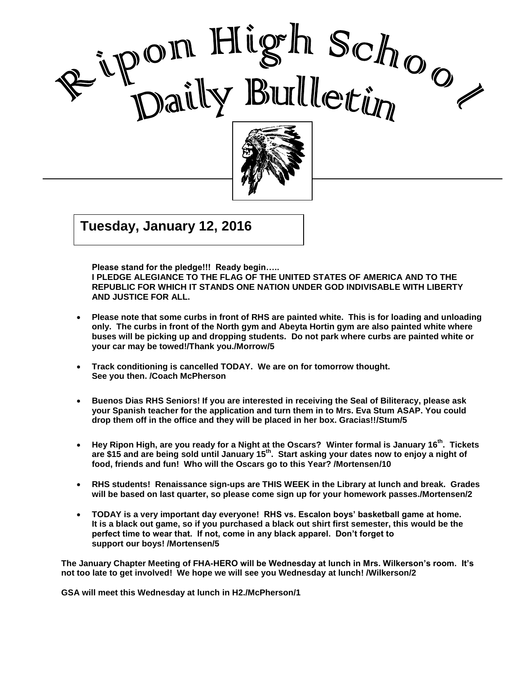

, 2002 , 2002 Good Care and Care and Care and Care and Care and Care and Care and Care and Care and Care and Care and Care a<br>Contract of Care and Care and Care and Care and Care and Care and Care and Care and Care and Care and Care and

I

 $G$   $\overline{G}$   $\overline{G}$   $\overline{G}$   $\overline{G}$   $\overline{G}$   $\overline{G}$   $\overline{G}$   $\overline{G}$   $\overline{G}$   $\overline{G}$   $\overline{G}$   $\overline{G}$   $\overline{G}$   $\overline{G}$   $\overline{G}$   $\overline{G}$   $\overline{G}$   $\overline{G}$   $\overline{G}$   $\overline{G}$   $\overline{G}$   $\overline{G}$   $\overline{G}$   $\overline{G}$  **Tuesday, January 12, 2016**

**Please stand for the pledge!!! Ready begin….. I PLEDGE ALEGIANCE TO THE FLAG OF THE UNITED STATES OF AMERICA AND TO THE REPUBLIC FOR WHICH IT STANDS ONE NATION UNDER GOD INDIVISABLE WITH LIBERTY AND JUSTICE FOR ALL.**

- **Please note that some curbs in front of RHS are painted white. This is for loading and unloading only. The curbs in front of the North gym and Abeyta Hortin gym are also painted white where buses will be picking up and dropping students. Do not park where curbs are painted white or your car may be towed!/Thank you./Morrow/5**
- **Track conditioning is cancelled TODAY. We are on for tomorrow thought. See you then. /Coach McPherson**
- **Buenos Dias RHS Seniors! If you are interested in receiving the Seal of Biliteracy, please ask your Spanish teacher for the application and turn them in to Mrs. Eva Stum ASAP. You could drop them off in the office and they will be placed in her box. Gracias!!/Stum/5**
- **Hey Ripon High, are you ready for a Night at the Oscars? Winter formal is January 16th . Tickets are \$15 and are being sold until January 15 th. Start asking your dates now to enjoy a night of food, friends and fun! Who will the Oscars go to this Year? /Mortensen/10**
- **RHS students! Renaissance sign-ups are THIS WEEK in the Library at lunch and break. Grades will be based on last quarter, so please come sign up for your homework passes./Mortensen/2**
- **TODAY is a very important day everyone! RHS vs. Escalon boys' basketball game at home. It is a black out game, so if you purchased a black out shirt first semester, this would be the perfect time to wear that. If not, come in any black apparel. Don't forget to support our boys! /Mortensen/5**

**The January Chapter Meeting of FHA-HERO will be Wednesday at lunch in Mrs. Wilkerson's room. It's not too late to get involved! We hope we will see you Wednesday at lunch! /Wilkerson/2**

**GSA will meet this Wednesday at lunch in H2./McPherson/1**